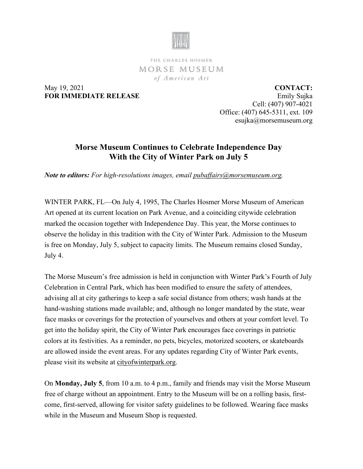

THE CHARLES HOSMER MORSE MUSEUM of American Art

May 19, 2021 **FOR IMMEDIATE RELEASE**

**CONTACT:** Emily Sujka Cell: (407) 907-4021 Office: (407) 645-5311, ext. 109 esujka@morsemuseum.org

## **Morse Museum Continues to Celebrate Independence Day With the City of Winter Park on July 5**

*Note to editors: For high-resolutions images, email [pubaffairs@morsemuseum.org.](mailto:pubaffairs@morsemuseum.org)*

WINTER PARK, FL—On July 4, 1995, The Charles Hosmer Morse Museum of American Art opened at its current location on Park Avenue, and a coinciding citywide celebration marked the occasion together with Independence Day. This year, the Morse continues to observe the holiday in this tradition with the City of Winter Park. Admission to the Museum is free on Monday, July 5, subject to capacity limits. The Museum remains closed Sunday, July 4.

The Morse Museum's free admission is held in conjunction with Winter Park's Fourth of July Celebration in Central Park, which has been modified to ensure the safety of attendees, advising all at city gatherings to keep a safe social distance from others; wash hands at the hand-washing stations made available; and, although no longer mandated by the state, wear face masks or coverings for the protection of yourselves and others at your comfort level. To get into the holiday spirit, the City of Winter Park encourages face coverings in patriotic colors at its festivities. As a reminder, no pets, bicycles, motorized scooters, or skateboards are allowed inside the event areas. For any updates regarding City of Winter Park events, please visit its website at [cityofwinterpark.org.](http://www.cityofwinterpark.org/)

On **Monday, July 5**, from 10 a.m. to 4 p.m., family and friends may visit the Morse Museum free of charge without an appointment. Entry to the Museum will be on a rolling basis, firstcome, first-served, allowing for visitor safety guidelines to be followed. Wearing face masks while in the Museum and Museum Shop is requested.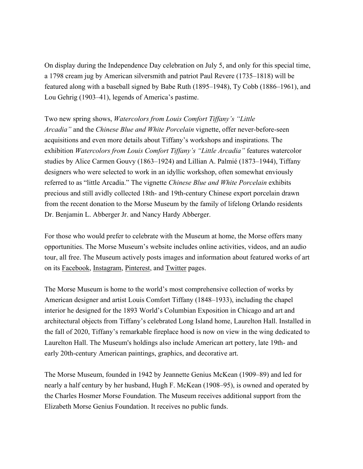On display during the Independence Day celebration on July 5, and only for this special time, a 1798 cream jug by American silversmith and patriot Paul Revere (1735–1818) will be featured along with a baseball signed by Babe Ruth (1895–1948), Ty Cobb (1886–1961), and Lou Gehrig (1903–41), legends of America's pastime.

Two new spring shows, *Watercolors from Louis Comfort Tiffany's "Little Arcadia"* and the *Chinese Blue and White Porcelain* vignette, offer never-before-seen acquisitions and even more details about Tiffany's workshops and inspirations. The exhibition *Watercolors from Louis Comfort Tiffany's "Little Arcadia"* features watercolor studies by Alice Carmen Gouvy (1863–1924) and Lillian A. Palmié (1873–1944), Tiffany designers who were selected to work in an idyllic workshop, often somewhat enviously referred to as "little Arcadia." The vignette *Chinese Blue and White Porcelain* exhibits precious and still avidly collected 18th- and 19th-century Chinese export porcelain drawn from the recent donation to the Morse Museum by the family of lifelong Orlando residents Dr. Benjamin L. Abberger Jr. and Nancy Hardy Abberger.

For those who would prefer to celebrate with the Museum at home, the Morse offers many opportunities. The Morse Museum's website includes online activities, videos, and an audio tour, all free. The Museum actively posts images and information about featured works of art on its [Facebook,](https://www.facebook.com/morsemuseum/) [Instagram,](https://www.instagram.com/morsemuseum/) Pinterest, and [Twitter](https://twitter.com/MorseMuseum?ref_src=twsrc%255Egoogle%257Ctwcamp%255Eserp%257Ctwgr%255Eauthor) pages.

The Morse Museum is home to the world's most comprehensive collection of works by American designer and artist Louis Comfort Tiffany (1848–1933), including the chapel interior he designed for the 1893 World's Columbian Exposition in Chicago and art and architectural objects from Tiffany's celebrated Long Island home, Laurelton Hall. Installed in the fall of 2020, Tiffany's remarkable fireplace hood is now on view in the wing dedicated to Laurelton Hall. The Museum's holdings also include American art pottery, late 19th- and early 20th-century American paintings, graphics, and decorative art.

The Morse Museum, founded in 1942 by Jeannette Genius McKean (1909–89) and led for nearly a half century by her husband, Hugh F. McKean (1908–95), is owned and operated by the Charles Hosmer Morse Foundation. The Museum receives additional support from the Elizabeth Morse Genius Foundation. It receives no public funds.